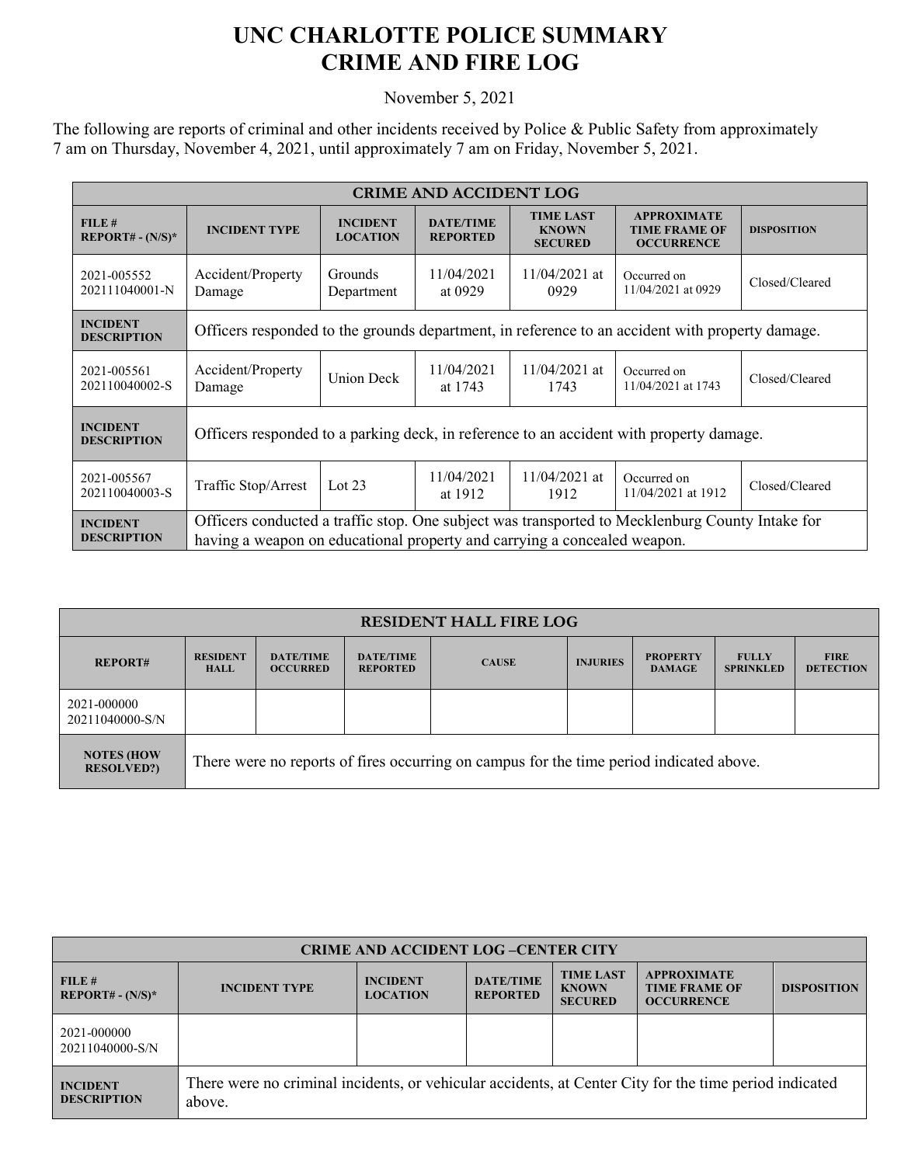## **UNC CHARLOTTE POLICE SUMMARY CRIME AND FIRE LOG**

November 5, 2021

The following are reports of criminal and other incidents received by Police & Public Safety from approximately 7 am on Thursday, November 4, 2021, until approximately 7 am on Friday, November 5, 2021.

| <b>CRIME AND ACCIDENT LOG</b>         |                                                                                                                                                                             |                                    |                                     |                                                    |                                                                 |                    |  |
|---------------------------------------|-----------------------------------------------------------------------------------------------------------------------------------------------------------------------------|------------------------------------|-------------------------------------|----------------------------------------------------|-----------------------------------------------------------------|--------------------|--|
| FILE#<br>$REPORT# - (N/S)*$           | <b>INCIDENT TYPE</b>                                                                                                                                                        | <b>INCIDENT</b><br><b>LOCATION</b> | <b>DATE/TIME</b><br><b>REPORTED</b> | <b>TIME LAST</b><br><b>KNOWN</b><br><b>SECURED</b> | <b>APPROXIMATE</b><br><b>TIME FRAME OF</b><br><b>OCCURRENCE</b> | <b>DISPOSITION</b> |  |
| 2021-005552<br>202111040001-N         | Accident/Property<br>Damage                                                                                                                                                 | <b>Grounds</b><br>Department       | 11/04/2021<br>at 0929               | $11/04/2021$ at<br>0929                            | Occurred on<br>11/04/2021 at 0929                               | Closed/Cleared     |  |
| <b>INCIDENT</b><br><b>DESCRIPTION</b> | Officers responded to the grounds department, in reference to an accident with property damage.                                                                             |                                    |                                     |                                                    |                                                                 |                    |  |
| 2021-005561<br>202110040002-S         | Accident/Property<br>Damage                                                                                                                                                 | <b>Union Deck</b>                  | 11/04/2021<br>at 1743               | $11/04/2021$ at<br>1743                            | Occurred on<br>11/04/2021 at 1743                               | Closed/Cleared     |  |
| <b>INCIDENT</b><br><b>DESCRIPTION</b> | Officers responded to a parking deck, in reference to an accident with property damage.                                                                                     |                                    |                                     |                                                    |                                                                 |                    |  |
| 2021-005567<br>202110040003-S         | Traffic Stop/Arrest                                                                                                                                                         | Lot $23$                           | 11/04/2021<br>at 1912               | $11/04/2021$ at<br>1912                            | Occurred on<br>11/04/2021 at 1912                               | Closed/Cleared     |  |
| <b>INCIDENT</b><br><b>DESCRIPTION</b> | Officers conducted a traffic stop. One subject was transported to Mecklenburg County Intake for<br>having a weapon on educational property and carrying a concealed weapon. |                                    |                                     |                                                    |                                                                 |                    |  |

| <b>RESIDENT HALL FIRE LOG</b>          |                                                                                         |                                     |                                     |              |                 |                                  |                                  |                                 |
|----------------------------------------|-----------------------------------------------------------------------------------------|-------------------------------------|-------------------------------------|--------------|-----------------|----------------------------------|----------------------------------|---------------------------------|
| <b>REPORT#</b>                         | <b>RESIDENT</b><br><b>HALL</b>                                                          | <b>DATE/TIME</b><br><b>OCCURRED</b> | <b>DATE/TIME</b><br><b>REPORTED</b> | <b>CAUSE</b> | <b>INJURIES</b> | <b>PROPERTY</b><br><b>DAMAGE</b> | <b>FULLY</b><br><b>SPRINKLED</b> | <b>FIRE</b><br><b>DETECTION</b> |
| 2021-000000<br>20211040000-S/N         |                                                                                         |                                     |                                     |              |                 |                                  |                                  |                                 |
| <b>NOTES (HOW</b><br><b>RESOLVED?)</b> | There were no reports of fires occurring on campus for the time period indicated above. |                                     |                                     |              |                 |                                  |                                  |                                 |

| <b>CRIME AND ACCIDENT LOG-CENTER CITY</b>      |                                                                                                                  |                                    |                                     |                                                    |                                                                 |                    |  |
|------------------------------------------------|------------------------------------------------------------------------------------------------------------------|------------------------------------|-------------------------------------|----------------------------------------------------|-----------------------------------------------------------------|--------------------|--|
| FILE#<br><b>REPORT# - <math>(N/S)^*</math></b> | <b>INCIDENT TYPE</b>                                                                                             | <b>INCIDENT</b><br><b>LOCATION</b> | <b>DATE/TIME</b><br><b>REPORTED</b> | <b>TIME LAST</b><br><b>KNOWN</b><br><b>SECURED</b> | <b>APPROXIMATE</b><br><b>TIME FRAME OF</b><br><b>OCCURRENCE</b> | <b>DISPOSITION</b> |  |
| 2021-000000<br>20211040000-S/N                 |                                                                                                                  |                                    |                                     |                                                    |                                                                 |                    |  |
| <b>INCIDENT</b><br><b>DESCRIPTION</b>          | There were no criminal incidents, or vehicular accidents, at Center City for the time period indicated<br>above. |                                    |                                     |                                                    |                                                                 |                    |  |